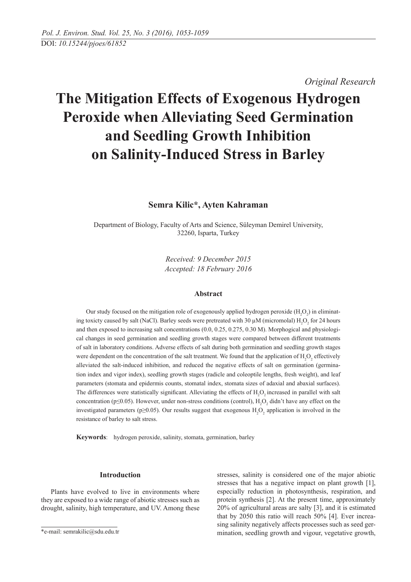*Original Research* 

# **The Mitigation Effects of Exogenous Hydrogen Peroxide when Alleviating Seed Germination and Seedling Growth Inhibition on Salinity-Induced Stress in Barley**

## **Semra Kilic\*, Ayten Kahraman**

Department of Biology, Faculty of Arts and Science, Süleyman Demirel University, 32260, Isparta, Turkey

> *Received: 9 December 2015 Accepted: 18 February 2016*

## **Abstract**

Our study focused on the mitigation role of exogenously applied hydrogen peroxide  $(H_2O_2)$  in eliminating toxicty caused by salt (NaCl). Barley seeds were pretreated with 30  $\mu$ M (micromolal) H<sub>2</sub>O<sub>2</sub> for 24 hours and then exposed to increasing salt concentrations (0.0, 0.25, 0.275, 0.30 M). Morphogical and physiological changes in seed germination and seedling growth stages were compared between different treatments of salt in laboratory conditions. Adverse effects of salt during both germination and seedling growth stages were dependent on the concentration of the salt treatment. We found that the application of  $H_2O_2$  effectively alleviated the salt-induced inhibition, and reduced the negative effects of salt on germination (germination index and vigor index), seedling growth stages (radicle and coleoptile lengths, fresh weight), and leaf parameters (stomata and epidermis counts, stomatal index, stomata sizes of adaxial and abaxial surfaces). The differences were statistically significant. Alleviating the effects of  $H_2O_2$  increased in parallel with salt concentration ( $p \le 0.05$ ). However, under non-stress conditions (control),  $H_2O_2$  didn't have any effect on the investigated parameters (p≥0.05). Our results suggest that exogenous  $H_2O_2$  application is involved in the resistance of barley to salt stress.

**Keywords**: hydrogen peroxide, salinity, stomata, germination, barley

## **Introduction**

Plants have evolved to live in environments where they are exposed to a wide range of abiotic stresses such as drought, salinity, high temperature, and UV. Among these stresses, salinity is considered one of the major abiotic stresses that has a negative impact on plant growth [1], especially reduction in photosynthesis, respiration, and protein synthesis [2]. At the present time, approximately 20% of agricultural areas are salty [3], and it is estimated that by 2050 this ratio will reach 50% [4]. Ever increasing salinity negatively affects processes such as seed germination, seedling growth and vigour, vegetative growth,

<sup>\*</sup>e-mail: semrakilic@sdu.edu.tr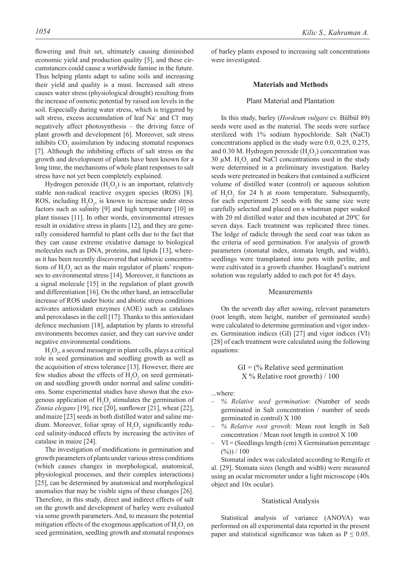flowering and fruit set, ultimately causing diminished economic yield and production quality [5], and these circumstances could cause a worldwide famine in the future. Thus helping plants adapt to saline soils and increasing their yield and quality is a must. Increased salt stress causes water stress (physiological drought) resulting from the increase of osmotic potential by raised ion levels in the soil. Especially during water stress, which is triggered by salt stress, excess accumulation of leaf Na<sup>+</sup> and Cl<sup>-</sup> may negatively affect photosynthesis – the driving force of plant growth and development [6]. Moreover, salt stress inhibits  $CO<sub>2</sub>$  assimilation by inducing stomatal responses [7]. Although the inhibiting effects of salt stress on the growth and development of plants have been known for a long time, the mechanisms of whole plant responses to salt stress have not yet been completely explained.

Hydrogen peroxide  $(H_2O_2)$  is an important, relatively stable non-radical reactive oxygen species (ROS) [8]. ROS, including  $H_2O_2$ , is known to increase under stress factors such as salinity [9] and high temperature [10] in plant tissues [11]. In other words, environmental stresses result in oxidative stress in plants [12], and they are generally considered harmful to plant cells due to the fact that they can cause extreme oxidative damage to biological molecules such as DNA, proteins, and lipids [13], whereas it has been recently discovered that subtoxic concentrations of  $H_2O_2$  act as the main regulator of plants' responses to environmental stress [14]. Moreover, it functions as a signal molecule [15] in the regulation of plant growth and differentiation [16]. On the other hand, an intracellular increase of ROS under biotic and abiotic stress conditions activates antioxidant enzymes (AOE) such as catalases and peroxidases in the cell [17]. Thanks to this antioxidant defence mechanism [18], adaptation by plants to stressful environments becomes easier, and they can survive under negative environmental conditions.

 $H_2O_2$ , a second messenger in plant cells, plays a critical role in seed germination and seedling growth as well as the acquisition of stress tolerance [13]. However, there are few studies about the effects of  $H_2O_2$  on seed germination and seedling growth under normal and saline conditions. Some experimental studies have shown that the exogenous application of  $H_2O_2$  stimulates the germination of *Zinnia elegans* [19], rice [20], sunflower [21], wheat [22], andmaize [23] seeds in both distilled water and saline medium. Moreover, foliar spray of  $H_2O_2$  significantly reduced salinity-induced effects by increasing the activites of catalase in maize [24].

The investigation of modifications in germination and growth parameters of plants under various stress conditions (which causes changes in morphological, anatomical, physiological processes, and their complex interactions) [25], can be determined by anatomical and morphological anomalies that may be visible signs of these changes [26]. Therefore, in this study, direct and indirect effects of salt on the growth and development of barley were evaluated via some growth parameters. And, to measure the potential mitigation effects of the exogenous application of  $H_2O_2$  on seed germination, seedling growth and stomatal responses

of barley plants exposed to increasing salt concentrations were investigated.

#### **Materials and Methods**

## Plant Material and Plantation

In this study, barley (*Hordeum vulgare* cv. Bülbül 89) seeds were used as the material. The seeds were surface sterilized with 1% sodium hypochloride. Salt (NaCl) concentrations applied in the study were 0.0, 0.25, 0.275, and 0.30 M. Hydrogen peroxide  $(H_2O_2)$  concentration was 30  $\mu$ M. H<sub>2</sub>O<sub>2</sub> and NaCl concentrations used in the study were determined in a preliminary investigation. Barley seeds were pretreated in beakers that contained a sufficient volume of distilled water (control) or aqueous solution of  $H_2O_2$  for 24 h at room temperature. Subsequently, for each experiment 25 seeds with the same size were carefully selected and placed on a whatman paper soaked with 20 ml distilled water and then incubated at 20ºC for seven days. Each treatment was replicated three times. The ledge of radicle through the seed coat was taken as the criteria of seed germination. For analysis of growth parameters (stomatal index, stomata length, and width), seedlings were transplanted into pots with perlite, and were cultivated in a growth chamber. Hoagland's nutrient solution was regularly added to each pot for 45 days.

#### Measurements

On the seventh day after sowing, relevant parameters (root length, stem height, number of germinated seeds) were calculated to determine germination and vigor indexes. Germination indices (GI) [27] and vigor indices (VI) [28] of each treatment were calculated using the following equations:

> $GI = %$  Relative seed germination X % Relative root growth) / 100

...where:

- *% Relative seed germination*: (Number of seeds germinated in Salt concentration / number of seeds germinated in control) X 100
- *% Relative root growth*: Mean root length in Salt concentration / Mean root length in control X 100
- $VI = (Seedlings length (cm) X Germanation percentage)$  $(%)$ ) / 100

Stomatal index was calculated according to Rengifo et al. [29]. Stomata sizes (length and width) were measured using an ocular micrometer under a light microscope (40x object and 10x ocular).

#### Statistical Analysis

Statistical analysis of variance (ANOVA) was performed on all experimental data reported in the present paper and statistical significance was taken as  $P \le 0.05$ .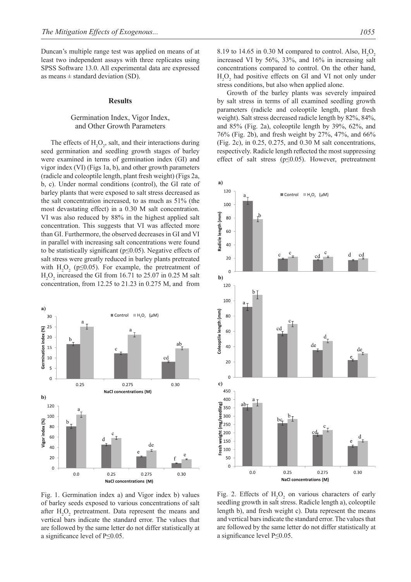Duncan's multiple range test was applied on means of at least two independent assays with three replicates using SPSS Software 13.0. All experimental data are expressed as means  $\pm$  standard deviation (SD).

#### **Results**

## Germination Index, Vigor Index, and Other Growth Parameters

The effects of  $H_2O_2$ , salt, and their interactions during seed germination and seedling growth stages of barley were examined in terms of germination index (GI) and vigor index (VI) (Figs 1a, b), and other growth parameters (radicle and coleoptile length, plant fresh weight) (Figs 2a, b, c). Under normal conditions (control), the GI rate of barley plants that were exposed to salt stress decreased as the salt concentration increased, to as much as 51% (the most devastating effect) in a 0.30 M salt concentration. VI was also reduced by 88% in the highest applied salt concentration. This suggests that VI was affected more than GI. Furthermore, the observed decreases in GI and VI in parallel with increasing salt concentrations were found to be statistically significant ( $p \le 0.05$ ). Negative effects of salt stress were greatly reduced in barley plants pretreated with  $H_2O_2$  (p $\leq 0.05$ ). For example, the pretreatment of  $H_2O_2$  increased the GI from 16.71 to 25.07 in 0.25 M salt concentration, from 12.25 to 21.23 in 0.275 M, and from



Fig. 1. Germination index a) and Vigor index b) values of barley seeds exposed to various concentrations of salt after  $H_2O_2$  pretreatment. Data represent the means and vertical bars indicate the standard error. The values that are followed by the same letter do not differ statistically at a significance level of  $P \le 0.05$ .

8.19 to 14.65 in 0.30 M compared to control. Also,  $H_2O_2$ increased VI by 56%, 33%, and 16% in increasing salt concentrations compared to control. On the other hand,  $H_2O_2$  had positive effects on GI and VI not only under stress conditions, but also when applied alone.

Growth of the barley plants was severely impaired by salt stress in terms of all examined seedling growth parameters (radicle and coleoptile length, plant fresh weight). Salt stress decreased radicle length by 82%, 84%, and 85% (Fig. 2a), coleoptile length by 39%, 62%, and 76% (Fig. 2b), and fresh weight by 27%, 47%, and 66% (Fig. 2c), in 0.25, 0.275, and 0.30 M salt concentrations, respectively. Radicle length reflected the most suppressing effect of salt stress (p≤0.05). However, pretreatment



Fig. 2. Effects of  $H_2O_2$  on various characters of early seedling growth in salt stress. Radicle length a), coleoptile length b), and fresh weight c). Data represent the means and vertical bars indicate the standard error. The values that are followed by the same letter do not differ statistically at a significance level P≤0.05.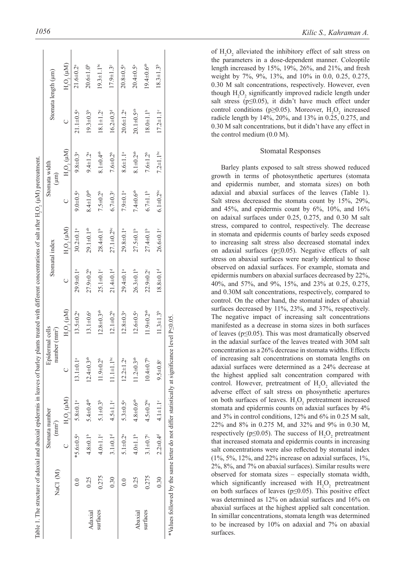|          | NaCl (M) |                             | Stomata number<br>(mm <sup>2</sup> ) |                              | Epidermal cells<br>number (mm <sup>2</sup> )           |                             | Stomatal index               |                             | Stomata width<br>$(\mu m)$  |                              | Stomata length (µm)          |
|----------|----------|-----------------------------|--------------------------------------|------------------------------|--------------------------------------------------------|-----------------------------|------------------------------|-----------------------------|-----------------------------|------------------------------|------------------------------|
|          |          |                             | $H_2O_2(\mu M)$                      | $\cup$                       | $\mathrm{H}_2\mathrm{O}_2\left(\mathrm{\mu{}M}\right)$ |                             | $H_2O_2(\mu M)$              |                             | $H_2O_2(\mu M)$             |                              | $H_2O_2(\mu M)$              |
|          |          | *5.6 $\pm$ 0.5 <sup>a</sup> | $5.8 + 0.1a$                         | $13.1 \pm 0.1^a$             | $13.5 \pm 0.2^a$                                       | 29.9 $\pm$ 0.1ª             | $30.2 \pm 0.1^a$             | $9.0 \pm 0.5^{\circ}$       | $9.8 \pm 0.3$ <sup>a</sup>  | $21.1 \pm 0.5^{\circ}$       | $21.6 \pm 0.2$ <sup>a</sup>  |
| Adaxial  | 0.25     | $4.8 \pm 0.1^{\circ}$       | $5.4 \pm 0.4$ <sup>ab</sup>          | $12.4 \pm 0.3$ <sup>ab</sup> | $13.1 \pm 0.6^a$                                       | $27.9 \pm 0.2^{\circ}$      | 29.1±0.1 <sup>ab</sup>       | $8.4 \pm 1.0^{ab}$          | $9.4 \pm 1.2$ <sup>a</sup>  | $19.3 \pm 0.3$ <sup>b</sup>  | $20.6 \pm 1.0^{\circ}$       |
| surfaces | 0.275    | $4.0 + 1.1$ °               | $5.1 + 0.3b$                         | $1.9 \pm 0.2^b$              | $12.8 \pm 0.3$ <sup>ab</sup>                           | $25.1 \pm 0.1$ <sup>c</sup> | $28.4 \pm 0.1^{\circ}$       | $7.5 \pm 0.2^b$             | $8.1 \pm 0.4$ <sup>ab</sup> | $18.1 \pm 1.2$ <sup>c</sup>  | $19.3 \pm 1.1$ <sup>bc</sup> |
|          | 0.30     | $3.1 \pm 0.1d$              | $4.5 \pm 1.1^{\circ}$                | $11.1 + 1.1$ <sup>bc</sup>   | $12.1 \pm 0.2^b$                                       | $21.4 \pm 0.1$ <sup>d</sup> | $27.1 \pm 0.2$ <sup>bc</sup> | $6.7 = 0.3^{\circ}$         | $7.6 + 0.2^b$               | $16.2 \pm 0.3$ <sup>d</sup>  | $17.9 \pm 1.3$               |
|          | $\rm{C}$ | $5.1 \pm 0.2^{\circ}$       | $5.3 \pm 0.5^a$                      | $12.2 \pm 1.2^a$             | $12.8 \pm 0.3$ <sup>a</sup>                            | $29.4 \pm 0.1$ <sup>a</sup> | 29.8±0.1ª                    | $7.9 \pm 0.1$ <sup>a</sup>  | $8.6 \pm 1.1^a$             | $20.6 \pm 1.2^a$             | $20.8 \pm 0.5$ <sup>a</sup>  |
| Abaxial  | 0.25     | $4.0 \pm 1.1^b$             | $4.8 \pm 0.6$ <sup>ab</sup>          | $1.2 \pm 0.3$ <sup>ab</sup>  | $12.6 \pm 0.5^{\circ}$                                 | $26.3 \pm 0.1^{\circ}$      | $27.5 \pm 0.1^b$             | $7.4 \pm 0.6$ <sup>ab</sup> | $8.1 \pm 0.2$ <sup>ab</sup> | $20.1 \pm 0.5$ <sup>ab</sup> | $20.4 \pm 0.5^{\circ}$       |
| surfaces | 0.275    | $3.1 \pm 0.7^{\circ}$       | $4.5 \pm 0.2^{\rm bc}$               | $10.4 \pm 0.7^{\circ}$       | $1.9 + 0.2^{ab}$                                       | 22.9±0.2°                   | $27.4 \pm 0.1^b$             | $6.7 \pm 1.1^{\circ}$       | $7.6 \pm 1.2^b$             | $18.0 + 1.1^b$               | $19.4 \pm 0.6$ <sup>ab</sup> |
|          | 0.30     | $2.2 \pm 0.4$ <sup>d</sup>  | $4.1 + 1.1$ °                        | $9.5 \pm 0.8$                | $11.3 \pm 1.3^b$                                       | $18.8 \pm 0.1d$             | $26.6 \pm 0.1$ °             | $6.1 \pm 0.2$ bc            | $7.2 \pm 1.1$ <sup>bc</sup> | $17.2 \pm 1.1$ <sup>c</sup>  | $18.3 \pm 1.3^b$             |

of H 2 O 2 alleviated the inhibitory effect of salt stress on the parameters in a dose-dependent manner. Coleoptile length increased by 15%, 19%, 26%, and 21%, and fresh weight by 7%, 9%, 13%, and 10% in 0.0, 0.25, 0.275, 0.30 M salt concentrations, respectively. However, even though  $H_2O_2$  significantly improved radicle length under salt stress ( $p \leq 0.05$ ), it didn't have much effect under control conditions (p $\geq$ 0.05). Moreover, H<sub>2</sub>O<sub>2</sub> increased radicle length by 14%, 20%, and 13% in 0.25, 0.275, and 0.30 M salt concentrations, but it didn't have any effect in the control medium (0.0 M).

#### Stomatal Responses

Barley plants exposed to salt stress showed reduced growth in terms of photosynthetic apertures (stomata and epidermis number, and stomata sizes) on both adaxial and abaxial surfaces of the leaves (Table 1). Salt stress decreased the stomata count by 15%, 29%, and  $45\%$ , and epidermis count by  $6\%$ ,  $10\%$ , and  $16\%$ on adaixal surfaces under 0.25, 0.275, and 0.30 M salt stress, compared to control, respectively. The decrease in stomata and epidermis counts of barley seeds exposed to increasing salt stress also decreased stomatal index on adaxial surfaces ( $p \le 0.05$ ). Negative effects of salt stress on abaxial surfaces were nearly identical to those observed on adaxial surfaces. For example, stomata and epidermis numbers on abaxial surfaces decreased by 22%, 40%, and 57%, and 9%, 15%, and 23% at 0.25, 0.275, and 0.30M salt concentrations, respectively, compared to control. On the other hand, the stomatal index of abaxial surfaces decreased by 11%, 23%, and 37%, respectively. The negative impact of increasing salt concentrations manifested as a decrease in stoma sizes in both surfaces of leaves ( $p \leq 0.05$ ). This was most dramatically observed in the adaxial surface of the leaves treated with 30M salt concentration as a 26% decrease in stomata widths. Effects of increasing salt concentrations on stomata lengths on adaxial surfaces were determined as a 24% decrease at the highest applied salt concentration compared with control. However, pretreatment of  $H_2O_2$  alleviated the adverse effect of salt stress on phosynthetic apertures on both surfaces of leaves. H 2 O 2 pretreatment increased stomata and epidermis counts on adaxial surfaces by 4% and 3% in control conditions, 12% and 6% in 0.25 M salt, 22% and 8% in 0.275 M, and 32% and 9% in 0.30 M, respectively ( $p \le 0.05$ ). The success of  $H_2O_2$  pretreatment that increased stomata and epidermis counts in increasing salt concentrations were also reflected by stomatal index  $(1\%, 5\%, 12\%, \text{ and } 22\% \text{ increase on a}}$  surfaces,  $1\%$ , 2%, 8%, and 7% on abaxial surfaces). Similar results were observed for stomata sizes – especially stomata width, which significantly increased with  $H_2O_2$  pretreatment on both surfaces of leaves ( $p \le 0.05$ ). This positive effect was determined as 12% on adaxial surfaces and 16% on abaxial surfaces at the highest applied salt concentation. In simillar concentrations, stomata length was determined to be increased by 10% on adaxial and 7% on abaxial surfaces.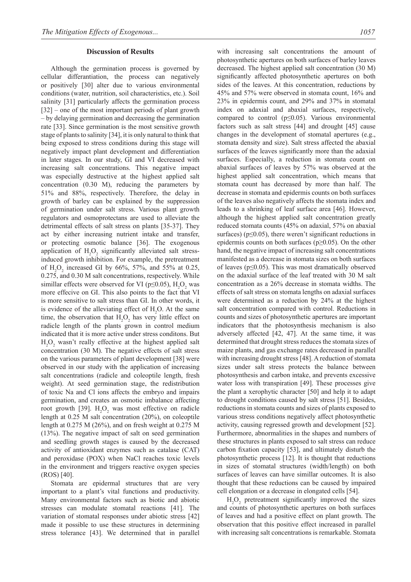#### **Discussion of Results**

Although the germination process is governed by cellular differantiation, the process can negatively or positively [30] alter due to various environmental conditions (water, nutrition, soil characteristics, etc.). Soil salinity [31] particularly affects the germination process [32] – one of the most important periods of plant growth – by delaying germination and decreasing the germination rate [33]. Since germination is the most sensitive growth stage of plants to salinity [34], it is only natural to think that being exposed to stress conditions during this stage will negatively impact plant development and differentiation in later stages. In our study, GI and VI decreased with increasing salt concentrations. This negative impact was especially destructive at the highest applied salt concentration (0.30 M), reducing the parameters by 51% and 88%, respectively. Therefore, the delay in growth of barley can be explained by the suppression of germination under salt stress. Various plant growth regulators and osmoprotectans are used to alleviate the detrimental effects of salt stress on plants [35-37]. They act by either increasing nutrient intake and transfer, or protecting osmotic balance [36]. The exogenous application of  $H_2O_2$  significantly alleviated salt stressinduced growth inhibition. For example, the pretreatment of  $H_2O_2$  increased GI by 66%, 57%, and 55% at 0.25, 0.275, and 0.30 M salt concentrations, respectively. While simillar effects were observed for VI ( $p \le 0.05$ ),  $H_2O_2$  was more effecive on GI. This also points to the fact that VI is more sensitive to salt stress than GI. In other words, it is evidence of the alleviating effect of  $H_2O$ . At the same time, the observation that  $H_2O_2$  has very little effect on radicle length of the plants grown in control medium indicated that it is more active under stress conditons. But  $H_2O_2$  wasn't really effective at the highest applied salt concentration (30 M). The negative effects of salt stress on the various parameters of plant development [38] were observed in our study with the application of increasing salt concentrations (radicle and coleoptile length, fresh weight). At seed germination stage, the redistribution of toxic Na and Cl ions affects the embryo and impairs germination, and creates an osmotic imbalance affecting root growth [39].  $H_2O_2$  was most effective on radicle length at 0.25 M salt concentration (20%), on coleoptile length at 0.275 M (26%), and on fresh weight at 0.275 M (13%). The negative impact of salt on seed germination and seedling growth stages is caused by the decreased activity of antioxidant enzymes such as catalase (CAT) and peroxidase (POX) when NaCl reaches toxic levels in the environment and triggers reactive oxygen species (ROS) [40].

Stomata are epidermal structures that are very important to a plant's vital functions and productivity. Many environmental factors such as biotic and abiotic stresses can modulate stomatal reactions [41]. The variation of stomatal responses under abiotic stress [42] made it possible to use these structures in determining stress tolerance [43]. We determined that in parallel

with increasing salt concentrations the amount of photosynthetic apertures on both surfaces of barley leaves decreased. The highest applied salt concentration (30 M) significantly affected photosynthetic apertures on both sides of the leaves. At this concentration, reductions by 45% and 57% were observed in stomata count, 16% and 23% in epidermis count, and 29% and 37% in stomatal index on adaxial and abaxial surfaces, respectively, compared to control (p≤0.05). Various environmental factors such as salt stress [44] and drought [45] cause changes in the development of stomatal apertures (e.g., stomata density and size). Salt stress affected the abaxial surfaces of the leaves significantly more than the adaxial surfaces. Especially, a reduction in stomata count on abaxial surfaces of leaves by 57% was observed at the highest applied salt concentration, which means that stomata count has decreased by more than half. The decrease in stomata and epidermis counts on both surfaces of the leaves also negatively affects the stomata index and leads to a shrinking of leaf surface area [46]. However, although the highest applied salt concentration greatly reduced stomata counts (45% on adaxial, 57% on abaxial surfaces) ( $p \le 0.05$ ), there weren't significant reductions in epidermis counts on both surfaces ( $p \ge 0.05$ ). On the other hand, the negative impact of increasing salt concentrations manifested as a decrease in stomata sizes on both surfaces of leaves ( $p \leq 0.05$ ). This was most dramatically observed on the adaxial surface of the leaf treated with 30 M salt concentration as a 26% decrease in stomata widths. The effects of salt stress on stomata lengths on adaxial surfaces were determined as a reduction by 24% at the highest salt concentration compared with control. Reductions in counts and sizes of photosynthetic apertures are important indicators that the photosynthesis mechanism is also adversely affected [42, 47]. At the same time, it was determined that drought stress reduces the stomata sizes of maize plants, and gas exchange rates decreased in parallel with increasing drought stress [48]. A reduction of stomata sizes under salt stress protects the balance between photosynthesis and carbon intake, and prevents excessive water loss with transpiration [49]. These processes give the plant a xerophytic character [50] and help it to adapt to drought conditions caused by salt stress [51]. Besides, reductions in stomata counts and sizes of plants exposed to various stress conditions negatively affect photosynthetic activity, causing regressed growth and development [52]. Furthermore, abnormalities in the shapes and numbers of these structures in plants exposed to salt stress can reduce carbon fixation capacity [53], and ultimately disturb the photosynthetic process [12]. It is thought that reductions in sizes of stomatal structures (width/length) on both surfaces of leaves can have simillar outcomes. It is also thought that these reductions can be caused by impaired cell elongation or a decrease in elongated cells [54].

 $H_2O_2$  pretreatment significantly improved the sizes and counts of photosynthetic apertures on both surfaces of leaves and had a positive effect on plant growth. The observation that this positive effect increased in parallel with increasing salt concentrations is remarkable. Stomata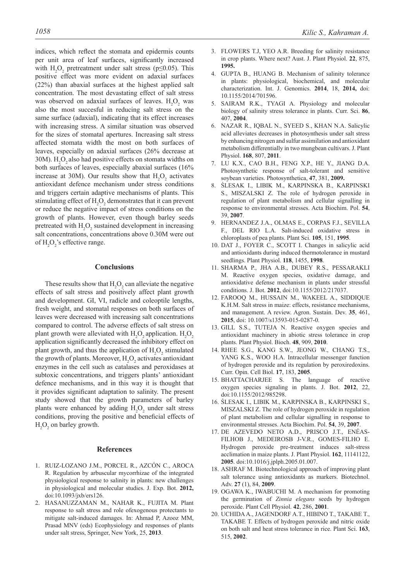indices, which reflect the stomata and epidermis counts per unit area of leaf surfaces, significantly increased with  $H_2O_2$  pretreatment under salt stress (p≤0.05). This positive effect was more evident on adaxial surfaces (22%) than abaxial surfaces at the highest applied salt concentration. The most devastating effect of salt stress was observed on adaxial surfaces of leaves.  $H_2O_2$  was also the most succesful in reducing salt stress on the same surface (adaxial), indicating that its effect increases with increasing stress. A similar situation was observed for the sizes of stomatal apertures. Increasing salt stress affected stomata width the most on both surfaces of leaves, especially on adaxial surfaces (26% decrease at 30M).  $H_2O_2$  also had positive effects on stomata widths on both surfaces of leaves, especially abaxial surfaces (16% increase at 30M). Our results show that  $H_2O_2$  activates antioxidant defence mechanism under stress conditions and triggers certain adaptive mechanisms of plants. This stimulating effect of  $H_2O_2$  demonstrates that it can prevent or reduce the negative impact of stress conditions on the growth of plants. However, even though barley seeds pretreated with  $H_2O_2$  sustained development in increasing salt concentrations, concentrations above 0.30M were out of  $H_2O_2$ 's effective range.

## **Conclusions**

These results show that  $H_2O_2$  can alleviate the negative effects of salt stress and positively affect plant growth and development. GI, VI, radicle and coleoptile lengths, fresh weight, and stomatal responses on both surfaces of leaves were decreased with increasing salt concentrations compared to control. The adverse effects of salt stress on plant growth were alleviated with  $H_2O_2$  application.  $H_2O_2$ application significantly decreased the inhibitory effect on plant growth, and thus the application of  $H_2O_2$  stimulated the growth of plants. Moreover,  $H_2O_2$  activates antioxidant enzymes in the cell such as catalases and peroxidases at subtoxic concentrations, and triggers plants' antioxidant defence mechanisms, and in this way it is thought that it provides significant adaptation to salinity. The present study showed that the growth parameters of barley plants were enhanced by adding  $H_2O_2$  under salt stress conditions, proving the positive and beneficial effects of  $H_2O_2$  on barley growth.

## **References**

- 1. RUIZ-LOZANO J.M., PORCEL R., AZCÓN C., AROCA R. Regulation by arbuscular mycorrhizae of the integrated physiological response to salinity in plants: new challenges in physiological and molecular studies. J. Exp. Bot. **2012,**  doi:10.1093/jxb/ers126.
- 2. HASANUZZAMAN M., NAHAR K., FUJITA M. Plant response to salt stress and role ofexogenous protectants to mitigate salt-induced damages. In: Ahmad P, Azooz MM, Prasad MNV (eds) Ecophysiology and responses of plants under salt stress, Springer, New York, 25, **2013**.
- 3. FLOWERS T.J, YEO A.R. Breeding for salinity resistance in crop plants. Where next? Aust. J. Plant Physiol. **22**, 875, **1995.**
- 4. GUPTA B., HUANG B. Mechanism of salinity tolerance in plants: physiological, biochemical, and molecular characterization. Int. J. Genomics. **2014**, 18, **2014,** doi: 10.1155/2014/701596.
- 5. SAIRAM R.K., TYAGI A. Physiology and molecular biology of salinity stress tolerance in plants. Curr. Sci. **86**, 407, **2004**.
- 6. NAZAR R., IQBAL N., SYEED S., KHAN N.A. Salicylic acid alleviates decreases in photosynthesis under salt stress by enhancing nitrogen and sulfur assimilation and antioxidant metabolism differentially in two mungbean cultivars. J. Plant Physiol. **168**, 807, **2011**.
- 7. LU K.X., CAO B.H., FENG X.P., HE Y., JIANG D.A. Photosynthetic response of salt-tolerant and sensitive soybean varieties. Photosynthetica, **47**, 381, **2009.**
- 8. ŚLESAK I., LIBIK M., KARPINSKA B., KARPINSKI S., MISZALSKI Z. The role of hydrogen peroxide in regulation of plant metabolism and cellular signalling in response to environmental stresses. Acta Biochim. Pol. **54**, 39, **2007**.
- 9. HERNANDEZ J.A., OLMAS E., CORPAS F.J., SEVILLA F., DEL RIO L.A. Salt-induced oxidative stress in chloroplasts of pea plants. Plant Sci. **105**, 151, **1995**.
- 10. DAT J., FOYER C., SCOTT I. Changes in salicylic acid and antioxidants during induced thermotolerance in mustard seedlings. Plant Physiol. **118**, 1455, **1998**.
- 11. SHARMA P., JHA A.B., DUBEY R.S., PESSARAKLI M. Reactive oxygen species, oxidative damage, and antioxidative defense mechanism in plants under stressful conditions. J. Bot. **2012**, doi:10.1155/2012/217037.
- 12. FAROOQ M., HUSSAIN M., WAKEEL A., SIDDIQUE K.H.M. Salt stress in maize: effects, resistance mechanisms, and management. A review. Agron. Sustain. Dev. **35**, 461, **2015**, doi: 10.1007/s13593-015-0287-0.
- 13. GILL S.S., TUTEJA N. Reactive oxygen species and antioxidant machinery in abiotic stress tolerance in crop plants. Plant Physiol. Bioch. **48**, 909, **2010**.
- 14. RHEE S.G., KANG S.W., JEONG W., CHANG T.S., YANG K.S., WOO H.A. Intracellular messenger function of hydrogen peroxide and its regulation by peroxiredoxins. Curr. Opin. Cell Biol. **17**, 183, **2005**.
- 15. BHATTACHARJEE S. The language of reactive oxygen species signaling in plants. J. Bot. **2012**, 22, doi:10.1155/2012/985298.
- 16. ŚLESAK I., LIBIK M., KARPINSKA B., KARPINSKI S., MISZALSKI Z. The role of hydrogen peroxide in regulation of plant metabolism and cellular signalling in response to environmental stresses. Acta Biochim. Pol. **54**, 39, **2007**.
- 17. DE AZEVEDO NETO A.D., PRISCO J.T., ENÉAS-FILHOB J., MEDEIROSB J-V.R., GOMES-FILHO E. Hydrogen peroxide pre-treatment induces salt-stress acclimation in maize plants. J. Plant Physiol. **162**, 11141122, **2005**. doi:10.1016/j.jplph.2005.01.007.
- 18. ASHRAF M. Biotechnological approach of improving plant salt tolerance using antioxidants as markers. Biotechnol. Adv. **27** (1), 84, **2009**.
- 19. OGAWA K., IWABUCHI M. A mechanism for promoting the germination of *Zinnia elegans* seeds by hydrogen peroxide. Plant Cell Physiol. **42**, 286, **2001**.
- 20. UCHIDA A., JAGENDORF A.T., HIBINO T., TAKABE T., TAKABE T. Effects of hydrogen peroxide and nitric oxide on both salt and heat stress tolerance in rice. Plant Sci. **163**, 515, **2002**.